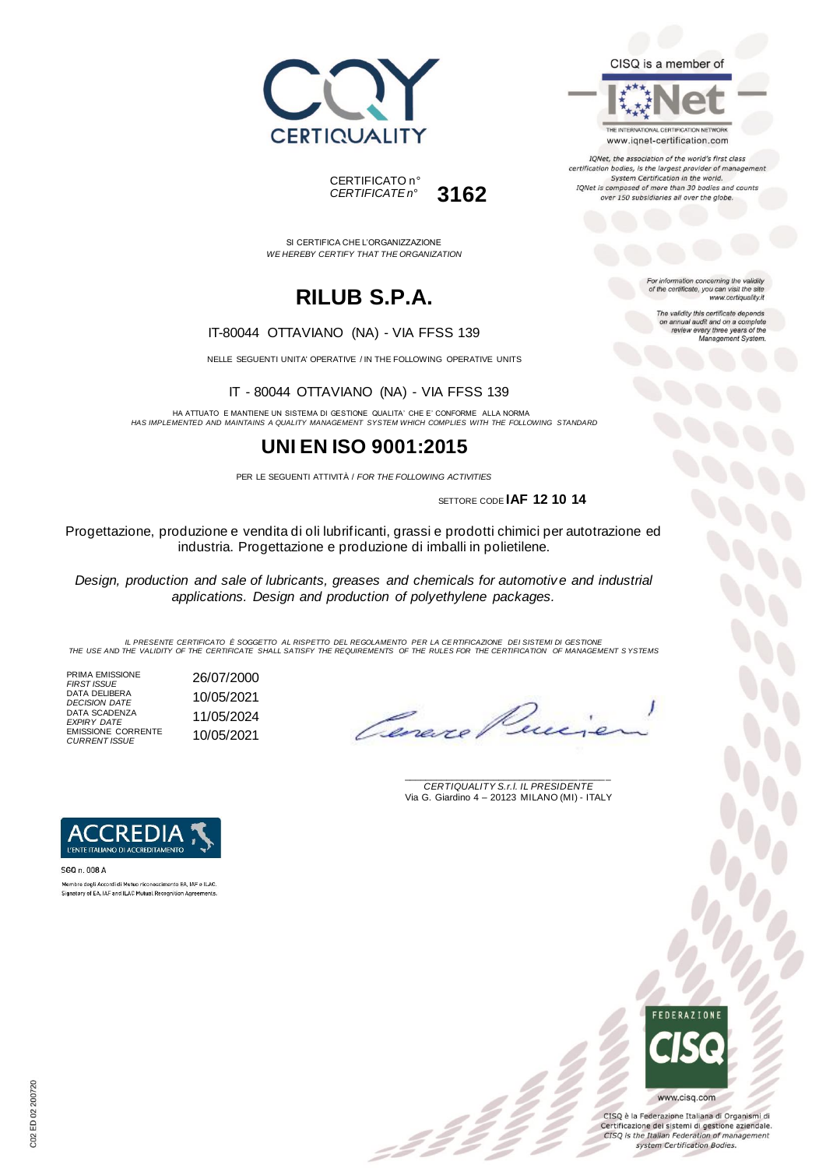



SI CERTIFICA CHE L'ORGANIZZAZIONE *WE HEREBY CERTIFY THAT THE ORGANIZATION*

# **RILUB S.P.A.**

#### IT-80044 OTTAVIANO (NA) - VIA FFSS 139

NELLE SEGUENTI UNITA' OPERATIVE / IN THE FOLLOWING OPERATIVE UNITS

IT - 80044 OTTAVIANO (NA) - VIA FFSS 139

HA ATTUATO E MANTIENE UN SISTEMA DI GESTIONE QUALITA' CHE E' CONFORME ALLA NORMA *HAS IMPLEMENTED AND MAINTAINS A QUALITY MANAGEMENT SYSTEM WHICH COMPLIES WITH THE FOLLOWING STANDARD*

### **UNI EN ISO 9001:2015**

PER LE SEGUENTI ATTIVITÀ / *FOR THE FOLLOWING ACTIVITIES*

SETTORE CODE **IAF 12 10 14**

Progettazione, produzione e vendita di oli lubrificanti, grassi e prodotti chimici per autotrazione ed industria. Progettazione e produzione di imballi in polietilene.

*Design, production and sale of lubricants, greases and chemicals for automotive and industrial applications. Design and production of polyethylene packages.*

IL PRESENTE CERTIFICATO E SOGGETTO AL RISPETTO DEL REGOLAMENTO PER LA CERTIFICAZIONE DEI SISTEMI DI GESTIONE<br>THE USE AND THE VALIDITY OF THE CERTIFICATE SHALL SATISFY THE REQUIREMENTS OF THE RULES FOR THE CERTIFICATION OF

 $\mathcal{L}$ 

PRIMA EMISSIONE *FIRST ISSUE* 26/07/2000 DATA DELIBERA *DECISION DATE* 10/05/2021 DATA SCADENZA *EXPIRY DATE* 11/05/2024 EMISSIONE CORRENTE *CURRENT ISSUE* 10/05/2021

Cereve

\_\_\_\_\_\_\_\_\_\_\_\_\_\_\_\_\_\_\_\_\_\_\_\_\_\_\_\_\_\_\_\_\_\_\_\_\_\_\_ *CERTIQUALITY S.r.l. IL PRESIDENTE* Via G. Giardino 4 – 20123 MILANO (MI) - ITALY



SGQ n. 008 A Membro degli Accordi di Mutuo riconoscimento EA, IAF e ILAC. Signatory of EA, IAF and ILAC Mutual Recognition Agreements



CISQ è la Federazione Italiana di Organismi di Certificazione dei sistemi di gestione aziendale. CISQ is the Italian Federation of management system Certification Bodies.



For information concerning the validity<br>of the certificate, you can visit the site www.certiquality.it

> The validity this certificate depends on annual audit and on a complete<br>review every three years of the<br>Management System.

CISQ is a member of

THE INTERNATIONAL CERTIFICATION NETWORK

www.iqnet-certification.com IQNet, the association of the world's first class certification bodies, is the largest provider of management System Certification in the world. IQNet is composed of more than 30 bodies and counts over 150 subsidiaries all over the globe.